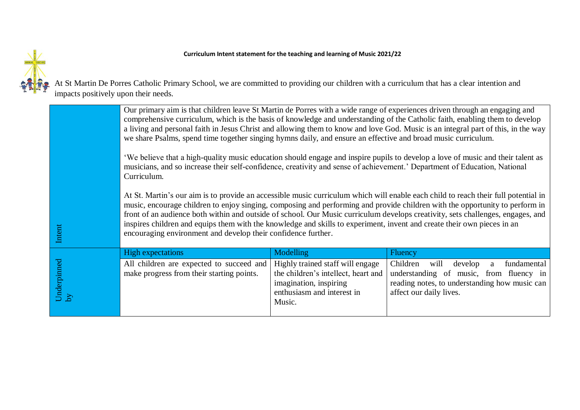## **Curriculum Intent statement for the teaching and learning of Music 2021/22**



At St Martin De Porres Catholic Primary School, we are committed to providing our children with a curriculum that has a clear intention and impacts positively upon their needs.

|                   | Our primary aim is that children leave St Martin de Porres with a wide range of experiences driven through an engaging and<br>comprehensive curriculum, which is the basis of knowledge and understanding of the Catholic faith, enabling them to develop<br>a living and personal faith in Jesus Christ and allowing them to know and love God. Music is an integral part of this, in the way<br>we share Psalms, spend time together singing hymns daily, and ensure an effective and broad music curriculum.<br>'We believe that a high-quality music education should engage and inspire pupils to develop a love of music and their talent as<br>musicians, and so increase their self-confidence, creativity and sense of achievement.' Department of Education, National<br>Curriculum. |                  |                |
|-------------------|------------------------------------------------------------------------------------------------------------------------------------------------------------------------------------------------------------------------------------------------------------------------------------------------------------------------------------------------------------------------------------------------------------------------------------------------------------------------------------------------------------------------------------------------------------------------------------------------------------------------------------------------------------------------------------------------------------------------------------------------------------------------------------------------|------------------|----------------|
|                   | At St. Martin's our aim is to provide an accessible music curriculum which will enable each child to reach their full potential in<br>music, encourage children to enjoy singing, composing and performing and provide children with the opportunity to perform in<br>front of an audience both within and outside of school. Our Music curriculum develops creativity, sets challenges, engages, and<br>inspires children and equips them with the knowledge and skills to experiment, invent and create their own pieces in an<br>encouraging environment and develop their confidence further.                                                                                                                                                                                              |                  |                |
| Intent            |                                                                                                                                                                                                                                                                                                                                                                                                                                                                                                                                                                                                                                                                                                                                                                                                |                  |                |
| Underpinned<br>by | <b>High expectations</b>                                                                                                                                                                                                                                                                                                                                                                                                                                                                                                                                                                                                                                                                                                                                                                       | <b>Modelling</b> | <b>Fluency</b> |